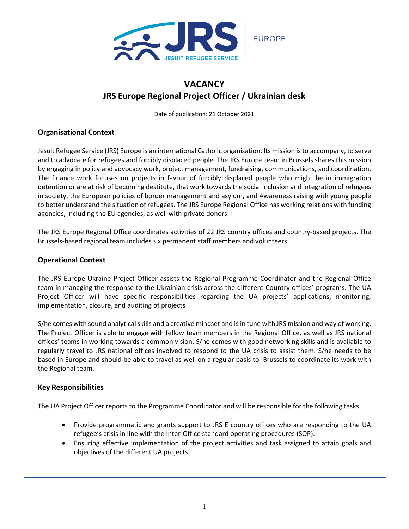

# **VACANCY JRS Europe Regional Project Officer / Ukrainian desk**

Date of publication: 21 October 2021

## **Organisational Context**

Jesuit Refugee Service (JRS) Europe is an international Catholic organisation. Its mission isto accompany, to serve and to advocate for refugees and forcibly displaced people. The JRS Europe team in Brussels shares this mission by engaging in policy and advocacy work, project management, fundraising, communications, and coordination. The finance work focuses on projects in favour of forcibly displaced people who might be in immigration detention or are at risk of becoming destitute, that work towards the social inclusion and integration of refugees in society, the European policies of border management and asylum, and Awareness raising with young people to better understand the situation of refugees. The JRS Europe Regional Office has working relations with funding agencies, including the EU agencies, as well with private donors.

The JRS Europe Regional Office coordinates activities of 22 JRS country offices and country-based projects. The Brussels-based regional team includes six permanent staff members and volunteers.

## **Operational Context**

The JRS Europe Ukraine Project Officer assists the Regional Programme Coordinator and the Regional Office team in managing the response to the Ukrainian crisis across the different Country offices' programs. The UA Project Officer will have specific responsibilities regarding the UA projects' applications, monitoring, implementation, closure, and auditing of projects

S/he comes with sound analytical skills and a creative mindset and is in tune with JRS mission and way of working. The Project Officer is able to engage with fellow team members in the Regional Office, as well as JRS national offices' teams in working towards a common vision. S/he comes with good networking skills and is available to regularly travel to JRS national offices involved to respond to the UA crisis to assist them. S/he needs to be based in Europe and should be able to travel as well on a regular basis to Brussels to coordinate its work with the Regional team.

## **Key Responsibilities**

The UA Project Officer reports to the Programme Coordinator and will be responsible for the following tasks:

- Provide programmatic and grants support to JRS E country offices who are responding to the UA refugee's crisis in line with the Inter-Office standard operating procedures (SOP).
- Ensuring effective implementation of the project activities and task assigned to attain goals and objectives of the different UA projects.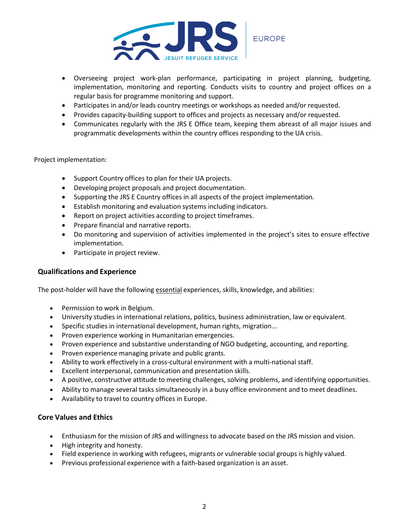

- Overseeing project work-plan performance, participating in project planning, budgeting, implementation, monitoring and reporting. Conducts visits to country and project offices on a regular basis for programme monitoring and support.
- Participates in and/or leads country meetings or workshops as needed and/or requested.
- Provides capacity-building support to offices and projects as necessary and/or requested.
- Communicates regularly with the JRS E Office team, keeping them abreast of all major issues and programmatic developments within the country offices responding to the UA crisis.

#### Project implementation:

- Support Country offices to plan for their UA projects.
- Developing project proposals and project documentation.
- Supporting the JRS E Country offices in all aspects of the project implementation.
- Establish monitoring and evaluation systems including indicators.
- Report on project activities according to project timeframes.
- Prepare financial and narrative reports.
- Do monitoring and supervision of activities implemented in the project's sites to ensure effective implementation.
- Participate in project review.

### **Qualifications and Experience**

The post-holder will have the following essential experiences, skills, knowledge, and abilities:

- Permission to work in Belgium.
- University studies in international relations, politics, business administration, law or equivalent.
- Specific studies in international development, human rights, migration...
- Proven experience working in Humanitarian emergencies.
- Proven experience and substantive understanding of NGO budgeting, accounting, and reporting.
- Proven experience managing private and public grants.
- Ability to work effectively in a cross-cultural environment with a multi-national staff.
- Excellent interpersonal, communication and presentation skills.
- A positive, constructive attitude to meeting challenges, solving problems, and identifying opportunities.
- Ability to manage several tasks simultaneously in a busy office environment and to meet deadlines.
- Availability to travel to country offices in Europe.

### **Core Values and Ethics**

- Enthusiasm for the mission of JRS and willingness to advocate based on the JRS mission and vision.
- High integrity and honesty.
- Field experience in working with refugees, migrants or vulnerable social groups is highly valued.
- Previous professional experience with a faith-based organization is an asset.